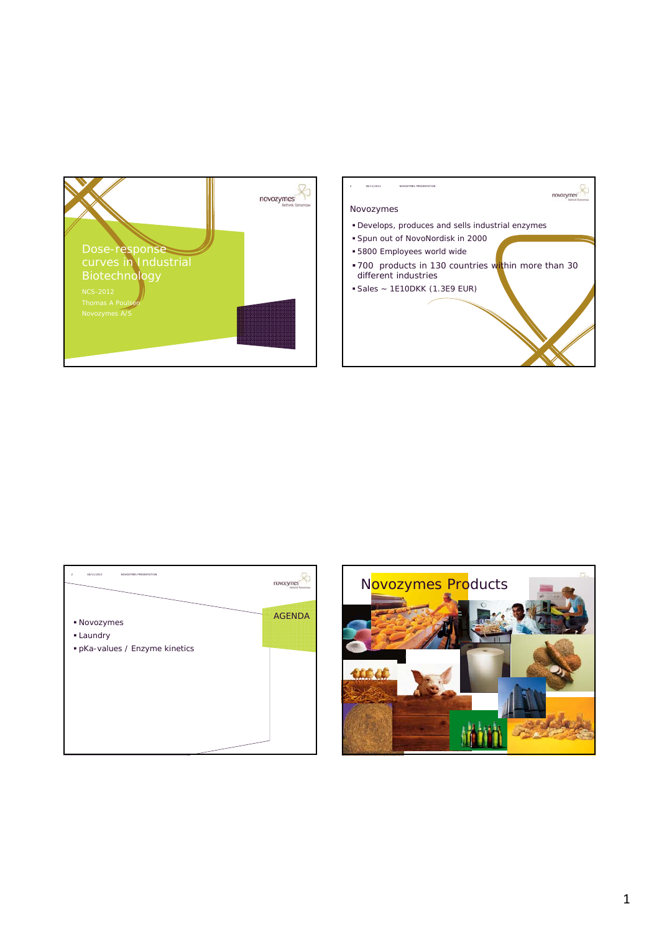



|                                | novozy        |
|--------------------------------|---------------|
| • Novozymes<br>• Laundry       | <b>AGENDA</b> |
| · pKa-values / Enzyme kinetics |               |
|                                |               |
|                                |               |

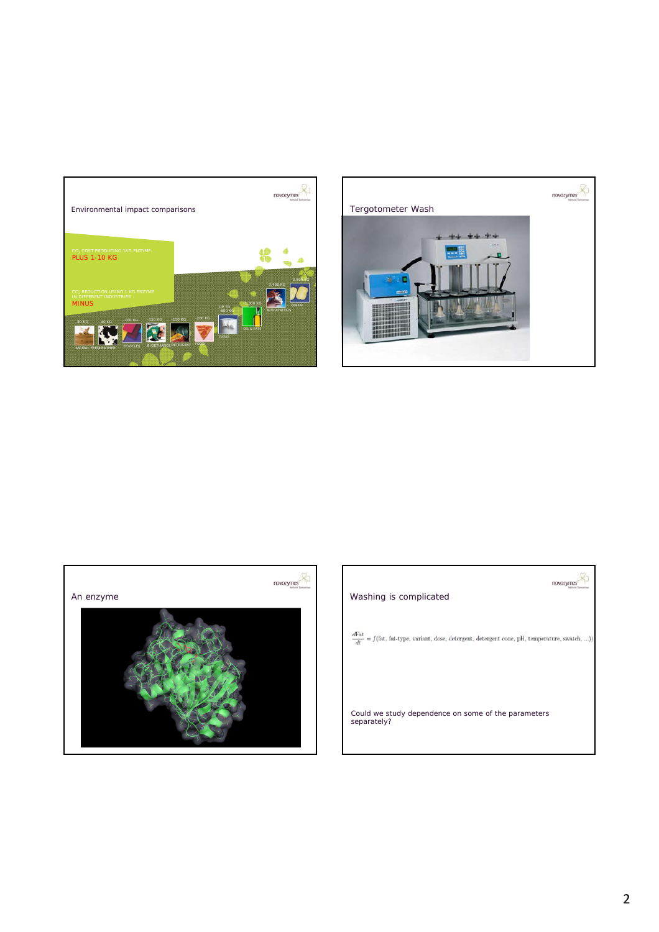





| Washing is complicated                                                                            |  |
|---------------------------------------------------------------------------------------------------|--|
| dFat<br>$= f(fat, fat-type, variant, dose, detergent, detergent cone, pH, temperature, swatch, )$ |  |
|                                                                                                   |  |
| Could we study dependence on some of the parameters<br>separately?                                |  |
|                                                                                                   |  |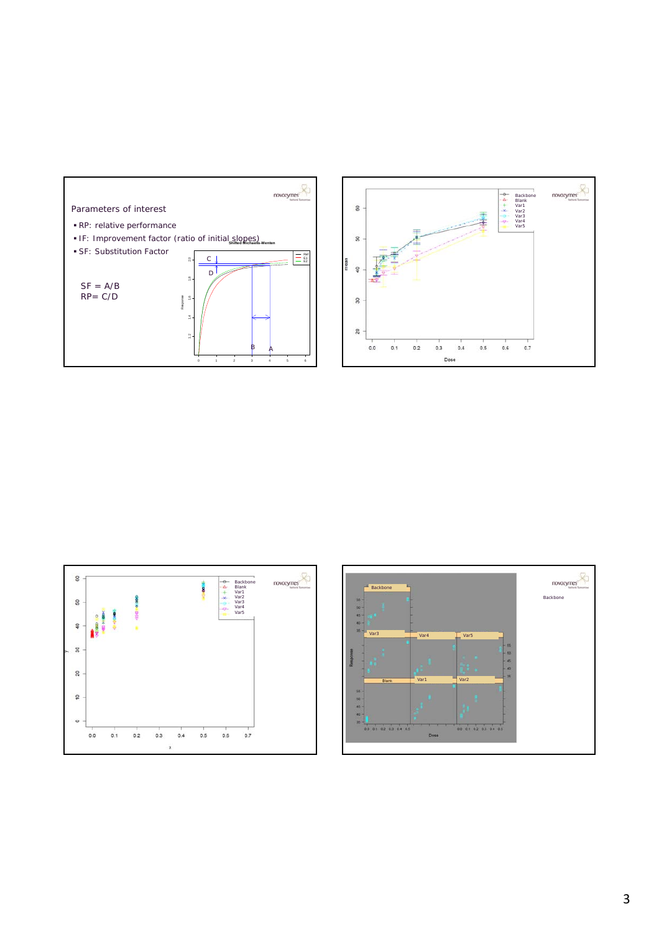





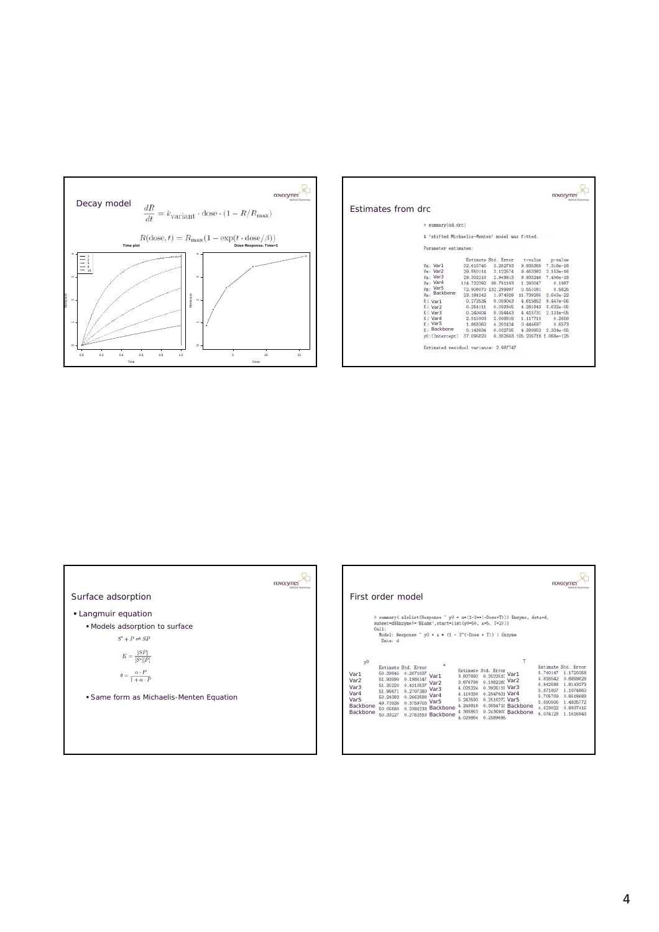

|                                                |            |                     |                                | DOVOZ <sup>1</sup> |  |
|------------------------------------------------|------------|---------------------|--------------------------------|--------------------|--|
| Estimates from drc                             |            |                     |                                |                    |  |
| > summary(dd.drc)                              |            |                     |                                |                    |  |
| A 'shifted Michaelis-Menten' model was fitted. |            |                     |                                |                    |  |
| Parameter estimates:                           |            |                     |                                |                    |  |
|                                                |            | Estimate Std. Error | t-value                        | p-value            |  |
| Vm: Var1                                       | 32.615745  | 3.282793            | 9.935365                       | 7.318e-18          |  |
| Vm: Var2                                       | 29.550114  | 3.122574            | 9.463382                       | $2.153e - 16$      |  |
| Vm: Var3                                       | 29.302216  | 2.949913            | 9.933246                       | 7.406e-18          |  |
| Vm: Var4                                       | 114.722392 | 88.791193           | 1.292047                       | 0.1987             |  |
| Vm: Var5                                       | 72.908070  | 132.299997          | 0.551081                       | 0.5825             |  |
| Backbone<br>Vm:                                | 23.184242  | 1.974928            | 11.739285                      | $2.643e-22$        |  |
| K.<br>Var1                                     | 0.272534   | 0.059043            | 4.615852                       | $9.447e - 06$      |  |
| K:<br>Var <sub>2</sub>                         | 0.254111   | 0.059345            | 4.281943                       | $3.622e - 05$      |  |
| K: Var3                                        | 0.240404   | 0.054443            | 4.415731                       | $2.131e - 05$      |  |
| K: Var4                                        | 2.915903   | 2.608818            | 1.117710                       | 0.2658             |  |
| K: Var5                                        | 1.868360   | 4.201424            | 0.444697                       | 0.6573             |  |
| Backbone<br>K-                                 | 0.143834   | 0.032735            | 4.393952                       | $2.324e - 05$      |  |
| y0: (Intercept)                                | 37.095820  |                     | 0.352603 105.205718 1.068e-125 |                    |  |
| Estimated residual variance: 2.987747          |            |                     |                                |                    |  |
|                                                |            |                     |                                |                    |  |



| First order model                                                         |                                                                      |                                                                                                                       |                                                                                                                         |                                                                      |                                                                                                          |                                                                        |                                                                      |                                                                                                                         |
|---------------------------------------------------------------------------|----------------------------------------------------------------------|-----------------------------------------------------------------------------------------------------------------------|-------------------------------------------------------------------------------------------------------------------------|----------------------------------------------------------------------|----------------------------------------------------------------------------------------------------------|------------------------------------------------------------------------|----------------------------------------------------------------------|-------------------------------------------------------------------------------------------------------------------------|
|                                                                           | Call:<br>Data: d                                                     |                                                                                                                       | subset-d\$Enzyme !- 'Blank', start-list(y0-50, a-5, T-2)))<br>Model: Response - y0 + a * (1 - 2 * (-Dose * T))   Enzyme |                                                                      |                                                                                                          | > summary( nlsList(Response " y0 + a*(1-2**(-Dose*T))  Enzyme, data-d. |                                                                      |                                                                                                                         |
| y0<br>Var1<br>Var <sub>2</sub><br>Var3<br>Var4<br>Var5<br><b>Backbone</b> | 50.39845<br>51.93990<br>51.35220<br>51.96671<br>50.24382<br>50.05580 | Estimate Std. Error.<br>0.2671837<br>0.1986147<br>0.4210537<br>0.2707380<br>0.2662588 Var4<br>49.70936 0.3759703 Var5 | Var1<br>Var <sub>2</sub><br>Var3<br>0.2384233 Backbone                                                                  | 3.827892<br>3.676799<br>4.025224<br>4.119330<br>5.243593<br>4.249818 | Estimate Std. Error<br>0.2522510<br>0.198228( Var2<br>0.3926118 Var3<br>0.2547631 Var4<br>0.2516272 Var5 | Var1<br>0.3554718 Backbone                                             | 5.740147<br>4.818542<br>6.842588<br>5.705709<br>5.690506<br>4.623022 | Estimate Std. Error<br>1.1720258<br>0.8899828<br>1.8143273<br>5.871807 1.1074860<br>0.8518683<br>1.4835772<br>0.8937416 |
| <b>Backbone</b>                                                           | 50.33227                                                             |                                                                                                                       | 0.2762553 Backbone                                                                                                      | 4.385852<br>4.029864                                                 | 0.2589696                                                                                                | 0.243690( Backbone                                                     |                                                                      | 6.074128 1.1616943                                                                                                      |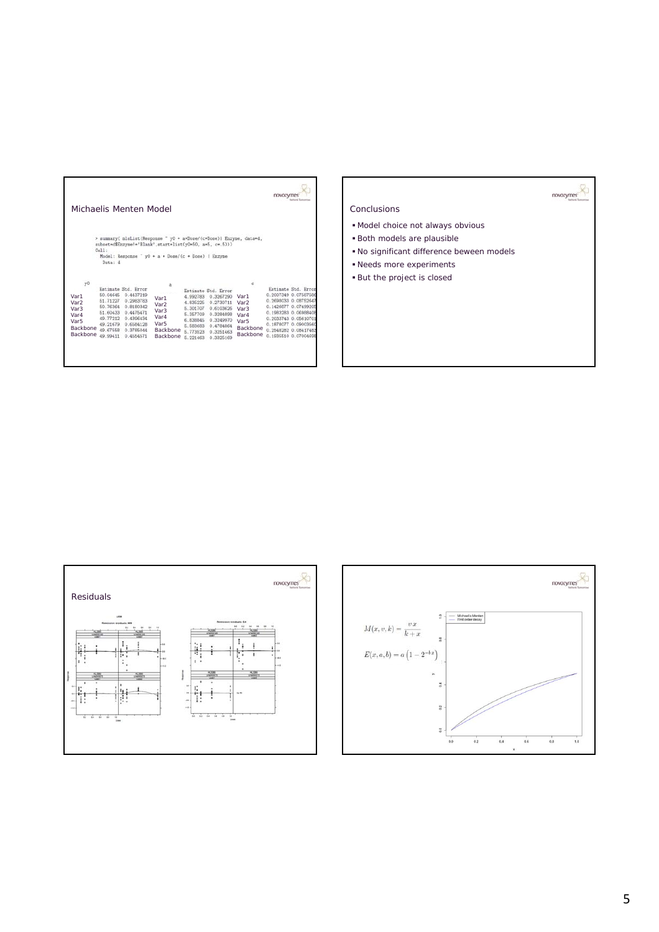|                                                                                                        |                                                                                              |                                                                                                                             |                                                                                                                                                                                         |                                                                                              |                                                                                                                             |                                                                                                       | novoz                                                                                                                                                                                        |                     |
|--------------------------------------------------------------------------------------------------------|----------------------------------------------------------------------------------------------|-----------------------------------------------------------------------------------------------------------------------------|-----------------------------------------------------------------------------------------------------------------------------------------------------------------------------------------|----------------------------------------------------------------------------------------------|-----------------------------------------------------------------------------------------------------------------------------|-------------------------------------------------------------------------------------------------------|----------------------------------------------------------------------------------------------------------------------------------------------------------------------------------------------|---------------------|
| Michaelis Menten Model                                                                                 |                                                                                              |                                                                                                                             |                                                                                                                                                                                         |                                                                                              |                                                                                                                             |                                                                                                       |                                                                                                                                                                                              |                     |
|                                                                                                        | Call:<br>Data: d                                                                             |                                                                                                                             | > summary( nlsList(Response " y0 + a*Dose/(c+Dose)  Enzyme, data=d.<br>subset=d\$Enzyme!='Blank',start=list(y0=50, a=5, c=. 5)))<br>Model: Response " y0 + a * Dose/(c + Dose)   Enzyme |                                                                                              |                                                                                                                             |                                                                                                       |                                                                                                                                                                                              |                     |
| y0<br>Var1<br>Var <sub>2</sub><br>Var <sub>3</sub><br>Var4<br>Var <sub>5</sub><br>Backbone<br>Backbone | 50.04645<br>51.71227<br>50.76364<br>51.60433<br>49.77212<br>49.21679<br>49.67558<br>49.99411 | Estimate Std. Error<br>0.4437219<br>0.2983783<br>0.8180342<br>0.4475471<br>0.4396434<br>0.6584128<br>0.3785044<br>0.4554571 | Var1<br>Var <sub>2</sub><br>Var <sub>3</sub><br>Var4<br>Var <sub>5</sub><br><b>Backbone</b><br><b>Backbone</b>                                                                          | 4.992783<br>4.835225<br>5.301707<br>5.357709<br>6.838845<br>5.583683<br>5.773523<br>5.221463 | Entimate Std. Error<br>0.3267290<br>0.2730711<br>0.6103626<br>0.3284898<br>0.3249970<br>0.4784864<br>0.3251463<br>0.3325169 | c<br>Var1<br>Var <sub>2</sub><br>Var <sub>3</sub><br>Var4<br>Var <sub>5</sub><br>Backbone<br>Backbone | 0.2007349 0.07587586<br>0.2698033 0.08752647<br>0.1426877 0.07499205<br>0.1983283 0.06988408<br>0.2033743 0.05610701<br>0.1878077 0.09003560<br>0.2548282 0.08417483<br>0.1935510 0.07004698 | Estimate Std. Error |

## Conclusions

- Model choice not always obvious
- Both models are plausible
- No significant difference beween models

novozymes

- Needs more experiments
- But the project is closed



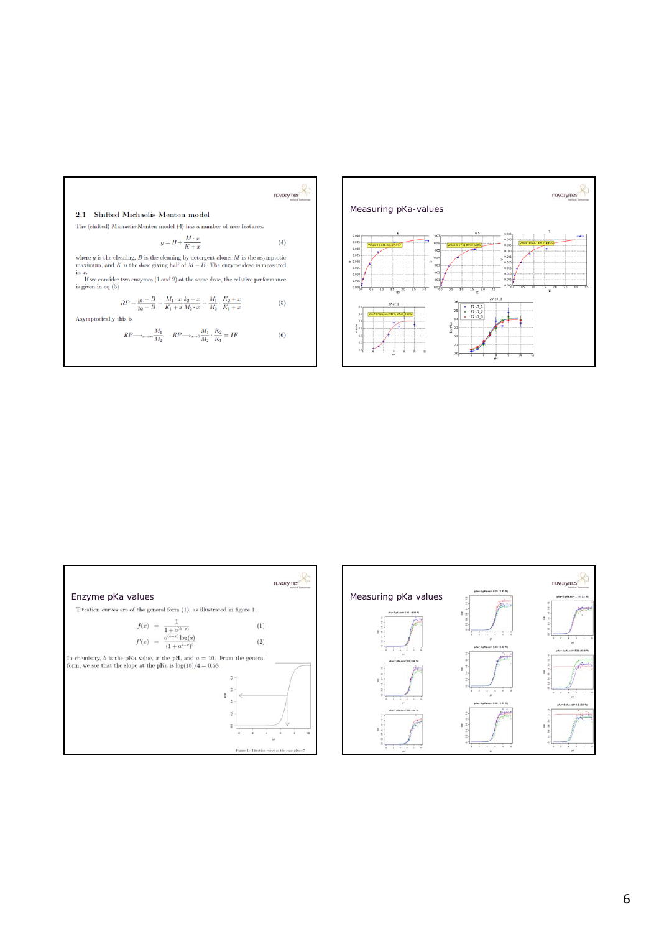



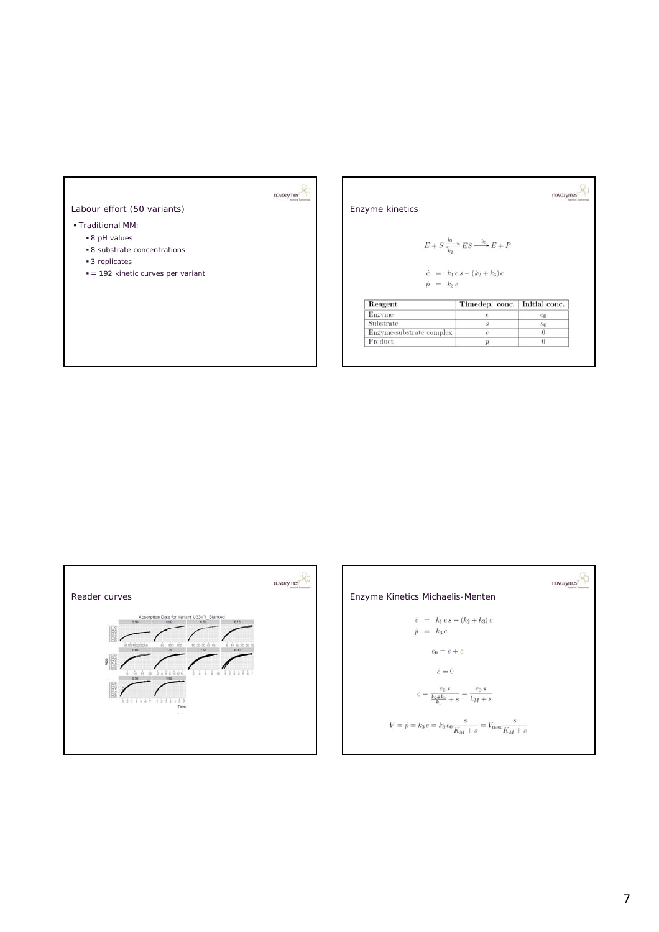

## Labour effort (50 variants)

## Traditional MM:

- 8 pH values
- 8 substrate concentrations
- 3 replicates
- = 192 kinetic curves per variant

Enzyme kinetics

$$
E + S \xrightarrow[k_1]{k_1} ES \xrightarrow[k_2]{k_3} E + I
$$

novozymes

$$
\dot{c} = k_1 e s - (k_2 + k_3) \n\dot{p} = k_3 c
$$

| Reagent                  | Timedep. conc. Initial conc. |                |
|--------------------------|------------------------------|----------------|
| Enzyme                   |                              | $\epsilon_0$   |
| Substrate                |                              | S <sub>0</sub> |
| Enzyme-substrate complex | c                            |                |
| Product                  |                              |                |



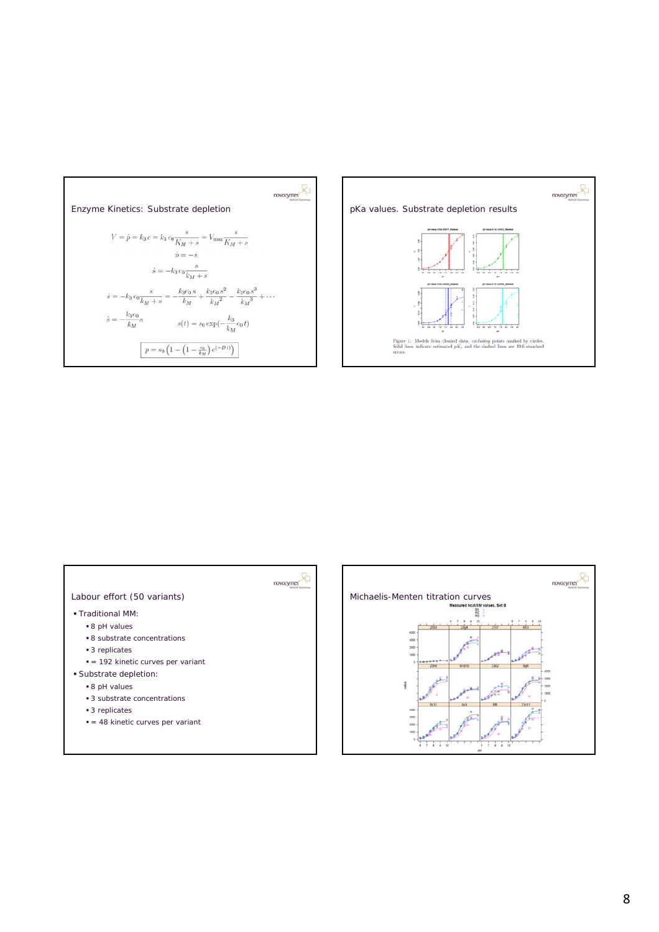